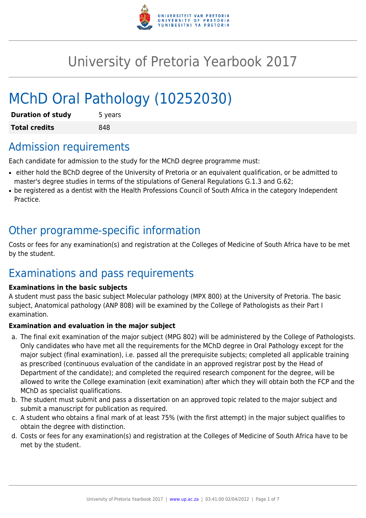

# University of Pretoria Yearbook 2017

# MChD Oral Pathology (10252030)

| <b>Duration of study</b> | 5 years |
|--------------------------|---------|
| <b>Total credits</b>     | 848     |

### Admission requirements

Each candidate for admission to the study for the MChD degree programme must:

- either hold the BChD degree of the University of Pretoria or an equivalent qualification, or be admitted to master's degree studies in terms of the stipulations of General Regulations G.1.3 and G.62;
- be registered as a dentist with the Health Professions Council of South Africa in the category Independent Practice.

### Other programme-specific information

Costs or fees for any examination(s) and registration at the Colleges of Medicine of South Africa have to be met by the student.

### Examinations and pass requirements

#### **Examinations in the basic subjects**

A student must pass the basic subject Molecular pathology (MPX 800) at the University of Pretoria. The basic subject, Anatomical pathology (ANP 808) will be examined by the College of Pathologists as their Part I examination.

#### **Examination and evaluation in the major subject**

- a. The final exit examination of the major subject (MPG 802) will be administered by the College of Pathologists. Only candidates who have met all the requirements for the MChD degree in Oral Pathology except for the major subject (final examination), i.e. passed all the prerequisite subjects; completed all applicable training as prescribed (continuous evaluation of the candidate in an approved registrar post by the Head of Department of the candidate); and completed the required research component for the degree, will be allowed to write the College examination (exit examination) after which they will obtain both the FCP and the MChD as specialist qualifications.
- b. The student must submit and pass a dissertation on an approved topic related to the major subject and submit a manuscript for publication as required.
- c. A student who obtains a final mark of at least 75% (with the first attempt) in the major subject qualifies to obtain the degree with distinction.
- d. Costs or fees for any examination(s) and registration at the Colleges of Medicine of South Africa have to be met by the student.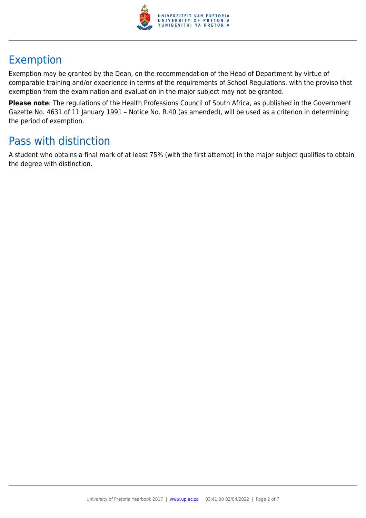

# Exemption

Exemption may be granted by the Dean, on the recommendation of the Head of Department by virtue of comparable training and/or experience in terms of the requirements of School Regulations, with the proviso that exemption from the examination and evaluation in the major subject may not be granted.

**Please note**: The regulations of the Health Professions Council of South Africa, as published in the Government Gazette No. 4631 of 11 January 1991 – Notice No. R.40 (as amended), will be used as a criterion in determining the period of exemption.

# Pass with distinction

A student who obtains a final mark of at least 75% (with the first attempt) in the major subject qualifies to obtain the degree with distinction.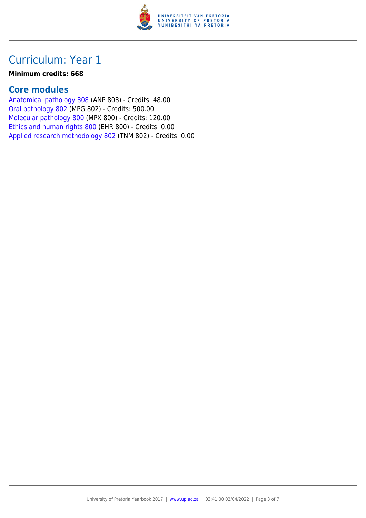

#### **Minimum credits: 668**

### **Core modules**

[Anatomical pathology 808](https://www.up.ac.za/parents/yearbooks/2017/modules/view/ANP 808) (ANP 808) - Credits: 48.00 [Oral pathology 802](https://www.up.ac.za/parents/yearbooks/2017/modules/view/MPG 802) (MPG 802) - Credits: 500.00 [Molecular pathology 800](https://www.up.ac.za/parents/yearbooks/2017/modules/view/MPX 800) (MPX 800) - Credits: 120.00 [Ethics and human rights 800](https://www.up.ac.za/parents/yearbooks/2017/modules/view/EHR 800) (EHR 800) - Credits: 0.00 [Applied research methodology 802](https://www.up.ac.za/parents/yearbooks/2017/modules/view/TNM 802) (TNM 802) - Credits: 0.00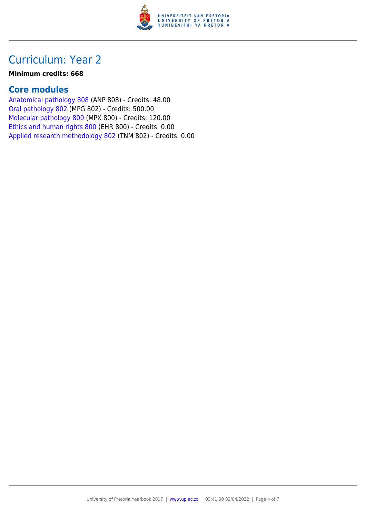

#### **Minimum credits: 668**

### **Core modules**

[Anatomical pathology 808](https://www.up.ac.za/parents/yearbooks/2017/modules/view/ANP 808) (ANP 808) - Credits: 48.00 [Oral pathology 802](https://www.up.ac.za/parents/yearbooks/2017/modules/view/MPG 802) (MPG 802) - Credits: 500.00 [Molecular pathology 800](https://www.up.ac.za/parents/yearbooks/2017/modules/view/MPX 800) (MPX 800) - Credits: 120.00 [Ethics and human rights 800](https://www.up.ac.za/parents/yearbooks/2017/modules/view/EHR 800) (EHR 800) - Credits: 0.00 [Applied research methodology 802](https://www.up.ac.za/parents/yearbooks/2017/modules/view/TNM 802) (TNM 802) - Credits: 0.00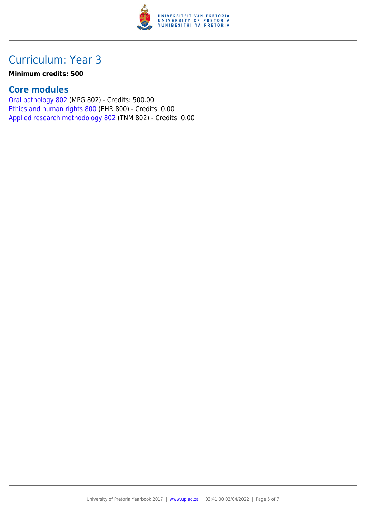

#### **Minimum credits: 500**

#### **Core modules**

[Oral pathology 802](https://www.up.ac.za/parents/yearbooks/2017/modules/view/MPG 802) (MPG 802) - Credits: 500.00 [Ethics and human rights 800](https://www.up.ac.za/parents/yearbooks/2017/modules/view/EHR 800) (EHR 800) - Credits: 0.00 [Applied research methodology 802](https://www.up.ac.za/parents/yearbooks/2017/modules/view/TNM 802) (TNM 802) - Credits: 0.00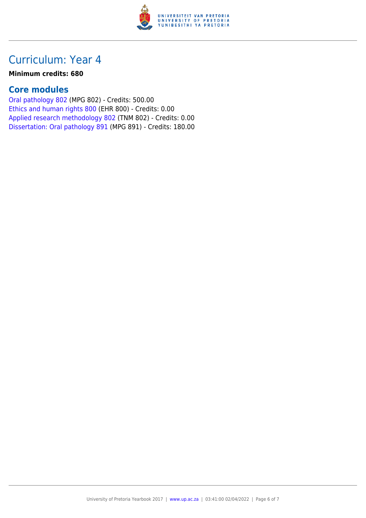

#### **Minimum credits: 680**

### **Core modules**

[Oral pathology 802](https://www.up.ac.za/parents/yearbooks/2017/modules/view/MPG 802) (MPG 802) - Credits: 500.00 [Ethics and human rights 800](https://www.up.ac.za/parents/yearbooks/2017/modules/view/EHR 800) (EHR 800) - Credits: 0.00 [Applied research methodology 802](https://www.up.ac.za/parents/yearbooks/2017/modules/view/TNM 802) (TNM 802) - Credits: 0.00 [Dissertation: Oral pathology 891](https://www.up.ac.za/parents/yearbooks/2017/modules/view/MPG 891) (MPG 891) - Credits: 180.00